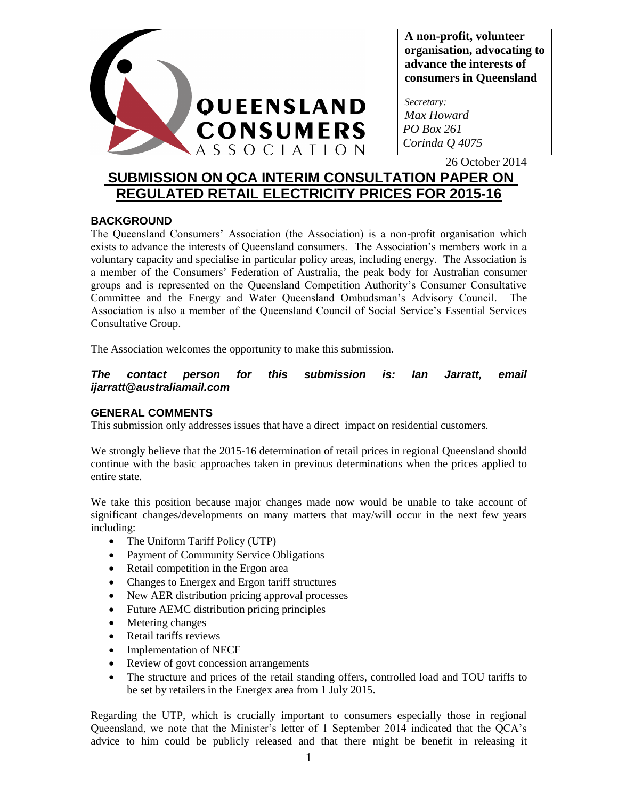

**A non-profit, volunteer organisation, advocating to advance the interests of consumers in Queensland**

*Secretary: Max Howard PO Box 261 Corinda Q 4075*

26 October 2014

# **SUBMISSION ON QCA INTERIM CONSULTATION PAPER ON REGULATED RETAIL ELECTRICITY PRICES FOR 2015-16**

# **BACKGROUND**

The Queensland Consumers' Association (the Association) is a non-profit organisation which exists to advance the interests of Queensland consumers. The Association's members work in a voluntary capacity and specialise in particular policy areas, including energy. The Association is a member of the Consumers' Federation of Australia, the peak body for Australian consumer groups and is represented on the Queensland Competition Authority's Consumer Consultative Committee and the Energy and Water Queensland Ombudsman's Advisory Council. The Association is also a member of the Queensland Council of Social Service's Essential Services Consultative Group.

The Association welcomes the opportunity to make this submission.

### *The contact person for this submission is: Ian Jarratt, email ijarratt@australiamail.com*

# **GENERAL COMMENTS**

This submission only addresses issues that have a direct impact on residential customers.

We strongly believe that the 2015-16 determination of retail prices in regional Queensland should continue with the basic approaches taken in previous determinations when the prices applied to entire state.

We take this position because major changes made now would be unable to take account of significant changes/developments on many matters that may/will occur in the next few years including:

- The Uniform Tariff Policy (UTP)
- Payment of Community Service Obligations
- Retail competition in the Ergon area
- Changes to Energex and Ergon tariff structures
- New AER distribution pricing approval processes
- Future AEMC distribution pricing principles
- Metering changes
- Retail tariffs reviews
- Implementation of NECF
- Review of govt concession arrangements
- The structure and prices of the retail standing offers, controlled load and TOU tariffs to be set by retailers in the Energex area from 1 July 2015.

Regarding the UTP, which is crucially important to consumers especially those in regional Queensland, we note that the Minister's letter of 1 September 2014 indicated that the QCA's advice to him could be publicly released and that there might be benefit in releasing it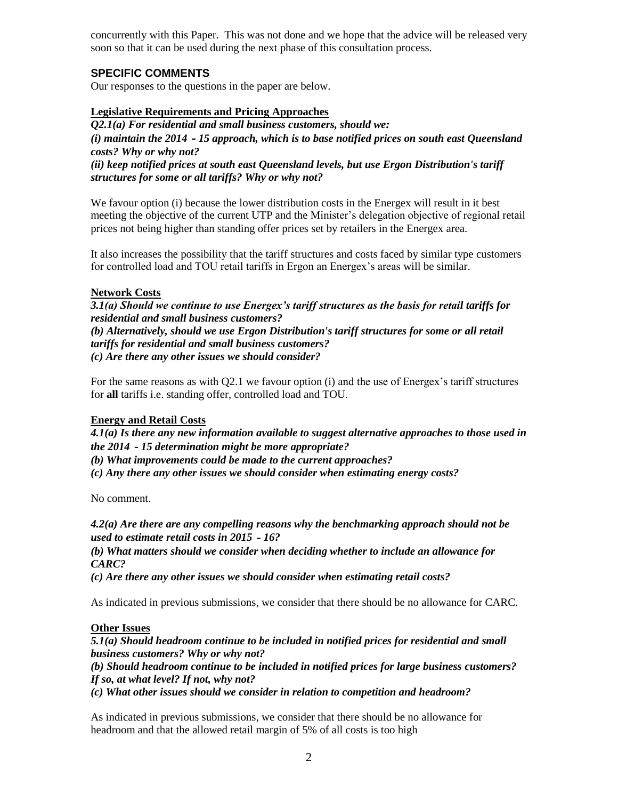concurrently with this Paper. This was not done and we hope that the advice will be released very soon so that it can be used during the next phase of this consultation process.

# **SPECIFIC COMMENTS**

Our responses to the questions in the paper are below.

#### **Legislative Requirements and Pricing Approaches**

*Q2.1(a) For residential and small business customers, should we: (i) maintain the 2014*‐*15 approach, which is to base notified prices on south east Queensland costs? Why or why not? (ii) keep notified prices at south east Queensland levels, but use Ergon Distribution's tariff structures for some or all tariffs? Why or why not?*

We favour option (i) because the lower distribution costs in the Energex will result in it best meeting the objective of the current UTP and the Minister's delegation objective of regional retail prices not being higher than standing offer prices set by retailers in the Energex area.

It also increases the possibility that the tariff structures and costs faced by similar type customers for controlled load and TOU retail tariffs in Ergon an Energex's areas will be similar.

#### **Network Costs**

*3.1(a) Should we continue to use Energex's tariff structures as the basis for retail tariffs for residential and small business customers?*

*(b) Alternatively, should we use Ergon Distribution's tariff structures for some or all retail tariffs for residential and small business customers? (c) Are there any other issues we should consider?*

For the same reasons as with Q2.1 we favour option (i) and the use of Energex's tariff structures for **all** tariffs i.e. standing offer, controlled load and TOU.

#### **Energy and Retail Costs**

*4.1(a) Is there any new information available to suggest alternative approaches to those used in the 2014*‐*15 determination might be more appropriate?*

*(b) What improvements could be made to the current approaches?*

*(c) Any there any other issues we should consider when estimating energy costs?*

No comment.

*4.2(a) Are there are any compelling reasons why the benchmarking approach should not be used to estimate retail costs in 2015*‐*16?*

*(b) What matters should we consider when deciding whether to include an allowance for CARC?*

*(c) Are there any other issues we should consider when estimating retail costs?*

As indicated in previous submissions, we consider that there should be no allowance for CARC.

#### **Other Issues**

*5.1(a) Should headroom continue to be included in notified prices for residential and small business customers? Why or why not?*

*(b) Should headroom continue to be included in notified prices for large business customers? If so, at what level? If not, why not?*

*(c) What other issues should we consider in relation to competition and headroom?*

As indicated in previous submissions, we consider that there should be no allowance for headroom and that the allowed retail margin of 5% of all costs is too high